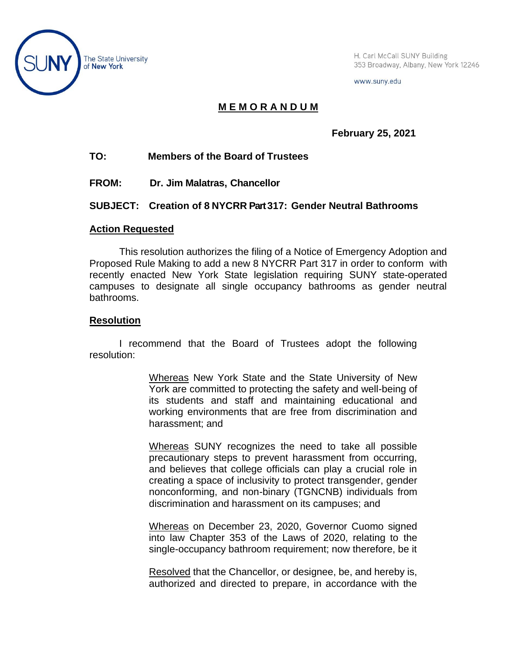

The State University<br>
Board Warehouse H. Carl McCall SUNY Building<br>
353 Broadway, Albany, New York 353 Broadway, Albany, New York 12246

www.suny.edu

# **M E M O R A N D U M**

**February 25, 2021**

# **TO: Members of the Board of Trustees**

**FROM: Dr. Jim Malatras, Chancellor**

## **SUBJECT: Creation of 8 NYCRR Part 317: Gender Neutral Bathrooms**

#### **Action Requested**

This resolution authorizes the filing of a Notice of Emergency Adoption and Proposed Rule Making to add a new 8 NYCRR Part 317 in order to conform with recently enacted New York State legislation requiring SUNY state-operated campuses to designate all single occupancy bathrooms as gender neutral bathrooms.

## **Resolution**

I recommend that the Board of Trustees adopt the following resolution:

> Whereas New York State and the State University of New York are committed to protecting the safety and well-being of its students and staff and maintaining educational and working environments that are free from discrimination and harassment; and

> Whereas SUNY recognizes the need to take all possible precautionary steps to prevent harassment from occurring, and believes that college officials can play a crucial role in creating a space of inclusivity to protect transgender, gender nonconforming, and non-binary (TGNCNB) individuals from discrimination and harassment on its campuses; and

> Whereas on December 23, 2020, Governor Cuomo signed into law Chapter 353 of the Laws of 2020, relating to the single-occupancy bathroom requirement; now therefore, be it

> Resolved that the Chancellor, or designee, be, and hereby is, authorized and directed to prepare, in accordance with the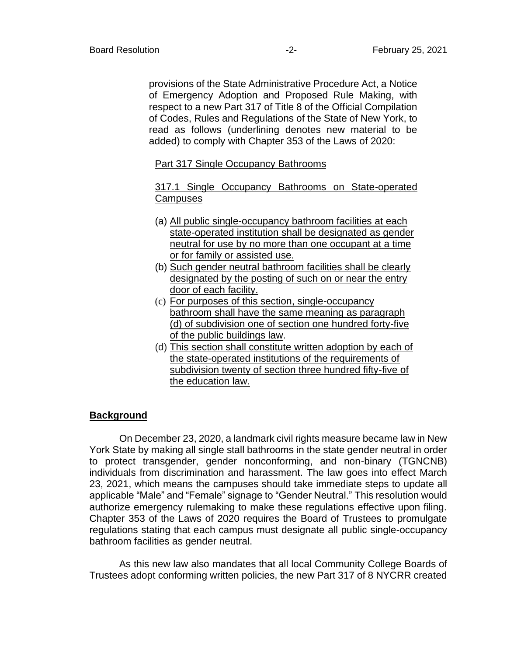provisions of the State Administrative Procedure Act, a Notice of Emergency Adoption and Proposed Rule Making, with respect to a new Part 317 of Title 8 of the Official Compilation of Codes, Rules and Regulations of the State of New York, to read as follows (underlining denotes new material to be added) to comply with Chapter 353 of the Laws of 2020:

#### Part 317 Single Occupancy Bathrooms

317.1 Single Occupancy Bathrooms on State-operated **Campuses** 

- (a) All public single-occupancy bathroom facilities at each state-operated institution shall be designated as gender neutral for use by no more than one occupant at a time or for family or assisted use.
- (b) Such gender neutral bathroom facilities shall be clearly designated by the posting of such on or near the entry door of each facility.
- (c) For purposes of this section, single-occupancy bathroom shall have the same meaning as paragraph (d) of subdivision one of section one hundred forty-five of the public buildings law.
- (d) This section shall constitute written adoption by each of the state-operated institutions of the requirements of subdivision twenty of section three hundred fifty-five of the education law.

#### **Background**

On December 23, 2020, a landmark civil rights measure became law in New York State by making all single stall bathrooms in the state gender neutral in order to protect transgender, gender nonconforming, and non-binary (TGNCNB) individuals from discrimination and harassment. The law goes into effect March 23, 2021, which means the campuses should take immediate steps to update all applicable "Male" and "Female" signage to "Gender Neutral." This resolution would authorize emergency rulemaking to make these regulations effective upon filing. Chapter 353 of the Laws of 2020 requires the Board of Trustees to promulgate regulations stating that each campus must designate all public single-occupancy bathroom facilities as gender neutral.

As this new law also mandates that all local Community College Boards of Trustees adopt conforming written policies, the new Part 317 of 8 NYCRR created